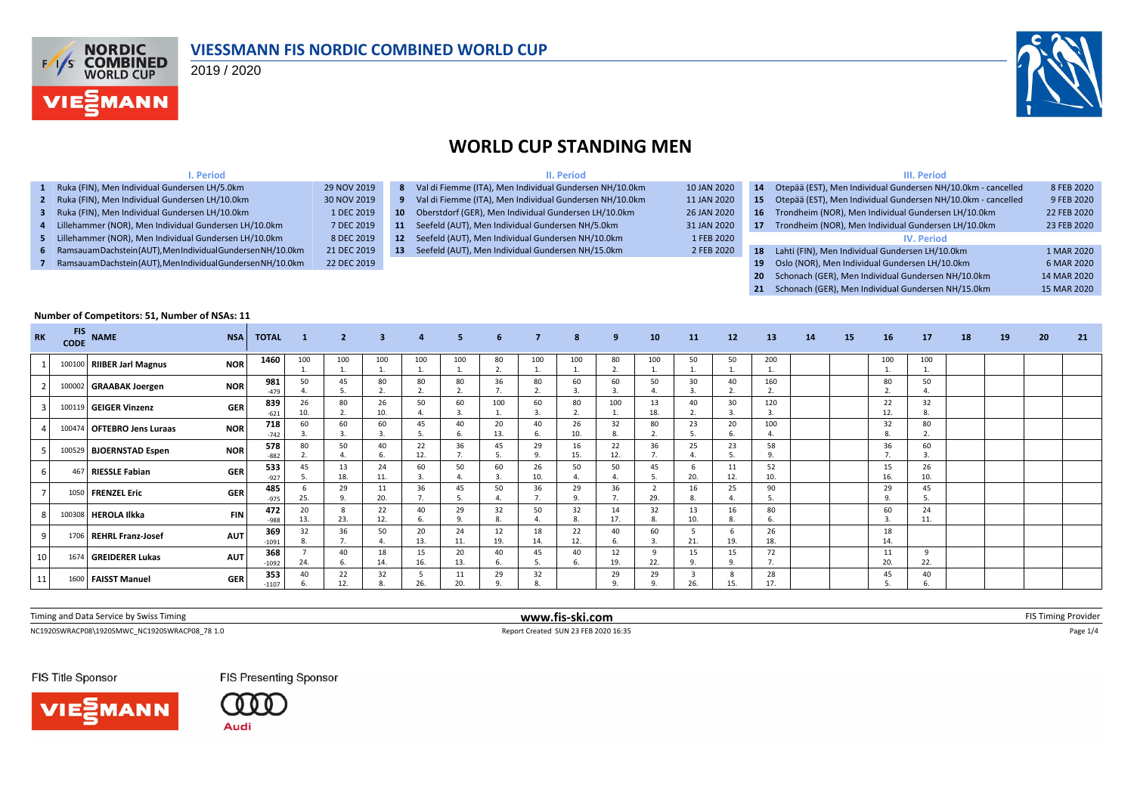

#### **VIESSMANN FIS NORDIC COMBINED WORLD CUP**

2019 / 2020



#### **WORLD CUP STANDING MEN**

| <b></b> Period                                                 |             |                 | II. Period                                              |             | III. Period                                    |                                                              |             |  |  |  |  |  |
|----------------------------------------------------------------|-------------|-----------------|---------------------------------------------------------|-------------|------------------------------------------------|--------------------------------------------------------------|-------------|--|--|--|--|--|
| Ruka (FIN), Men Individual Gundersen LH/5.0km                  | 29 NOV 2019 | 8               | Val di Fiemme (ITA), Men Individual Gundersen NH/10.0km | 10 JAN 2020 | 14                                             | Otepää (EST), Men Individual Gundersen NH/10.0km - cancelled | 8 FEB 2020  |  |  |  |  |  |
| 2 Ruka (FIN), Men Individual Gundersen LH/10.0km               | 30 NOV 2019 |                 | Val di Fiemme (ITA), Men Individual Gundersen NH/10.0km | 11 JAN 2020 | 15                                             | Otepää (EST), Men Individual Gundersen NH/10.0km - cancelled | 9 FEB 2020  |  |  |  |  |  |
| Ruka (FIN), Men Individual Gundersen LH/10.0km                 | 1 DEC 2019  | <b>10</b>       | Oberstdorf (GER), Men Individual Gundersen LH/10.0km    | 26 JAN 2020 | 16                                             | Trondheim (NOR), Men Individual Gundersen LH/10.0km          | 22 FEB 2020 |  |  |  |  |  |
| 4 Lillehammer (NOR), Men Individual Gundersen LH/10.0km        | 7 DEC 2019  | <b>11</b>       | Seefeld (AUT), Men Individual Gundersen NH/5.0km        | 31 JAN 2020 |                                                | Trondheim (NOR), Men Individual Gundersen LH/10.0km          | 23 FEB 2020 |  |  |  |  |  |
| 5 Lillehammer (NOR), Men Individual Gundersen LH/10.0km        | 8 DEC 2019  | 12 <sup>7</sup> | Seefeld (AUT), Men Individual Gundersen NH/10.0km       | 1 FEB 2020  |                                                | <b>IV. Period</b>                                            |             |  |  |  |  |  |
| 6 Ramsauam Dachstein (AUT), Men Individual Gundersen NH/10.0km | 21 DEC 2019 | 13              | Seefeld (AUT), Men Individual Gundersen NH/15.0km       | 2 FEB 2020  | 18                                             | Lahti (FIN), Men Individual Gundersen LH/10.0km              | 1 MAR 2020  |  |  |  |  |  |
| Ramsauam Dachstein (AUT), Men Individual Gundersen NH/10.0km   | 22 DEC 2019 |                 |                                                         | 19          | Oslo (NOR), Men Individual Gundersen LH/10.0km | 6 MAR 2020                                                   |             |  |  |  |  |  |
|                                                                |             |                 |                                                         |             |                                                | 20 Schonach (GER), Men Individual Gundersen NH/10.0km        | 14 MAR 2020 |  |  |  |  |  |

|                 | Number of Competitors: 51, Number of NSAs: 11 |                            |            |                |              |                |                         |                      |           |                    |                |                     |                      |                      |                       |           |           |    |    |                |                      |    |    |    |    |
|-----------------|-----------------------------------------------|----------------------------|------------|----------------|--------------|----------------|-------------------------|----------------------|-----------|--------------------|----------------|---------------------|----------------------|----------------------|-----------------------|-----------|-----------|----|----|----------------|----------------------|----|----|----|----|
| <b>RK</b>       | <b>FIS</b><br><b>CODE</b>                     | <b>NAME</b>                | <b>NSA</b> | <b>TOTAL</b>   | $\mathbf{1}$ | $\overline{2}$ | $\overline{\mathbf{3}}$ | $\overline{4}$       | 5         | 6                  | $\overline{7}$ | 8                   | 9                    | 10                   | 11                    | 12        | 13        | 14 | 15 | 16             | 17                   | 18 | 19 | 20 | 21 |
|                 |                                               | 100100 RIIBER Jarl Magnus  | <b>NOR</b> | 1460           | 100          | 100            | 100                     | 100<br>$\mathbf{1}$  | 100<br>1. | 80<br>$\mathbf{r}$ | 100            | 100<br>$\mathbf{A}$ | 80<br>$\overline{2}$ | 100                  | 50<br>$\overline{1}$  | 50        | 200       |    |    | 100            | 100                  |    |    |    |    |
|                 | 100002                                        | <b>GRAABAK Joergen</b>     | <b>NOR</b> | 981<br>$-479$  | 50           | 45             | 80                      | 80                   | 80        | 36                 | 80             | 60                  | 60                   | 50                   | 30                    | 40        | 160       |    |    | 80             | 50                   |    |    |    |    |
|                 |                                               | 100119 GEIGER Vinzenz      | <b>GER</b> | 839<br>$-621$  | 26<br>10.    | 80             | 26<br>10.               | 50                   | 60        | 100                | 60             | 80<br>$\mathbf{a}$  | 100                  | 13<br>18.            | 40                    | 30<br>3.  | 120       |    |    | 22<br>12.      | 32<br>8.             |    |    |    |    |
|                 |                                               | 100474 OFTEBRO Jens Luraas | <b>NOR</b> | 718<br>$-742$  | 60           | 60             | 60                      | 45                   | 40        | 20<br>13.          | 40             | 26<br>10.           | 32<br>8.             | 80                   | 23                    | 20        | 100       |    |    | 32             | 80                   |    |    |    |    |
|                 |                                               | 100529 BJOERNSTAD Espen    | <b>NOR</b> | 578<br>$-882$  | 80<br>2.     | 50             | 40                      | 22<br>12.            | 36<br>7.  | 45                 | 29<br>$\alpha$ | 16<br>15.           | 22<br>12.            | 36<br>$\overline{7}$ | 25                    | 23        | 58<br>9.  |    |    | 36<br>7.       | 60<br>$\overline{a}$ |    |    |    |    |
|                 |                                               | 467 RIESSLE Fabian         | <b>GER</b> | 533<br>$-927$  | 45<br>.5     | 13<br>18.      | 24<br>11.               | 60<br>$\overline{3}$ | 50<br>4   | 60<br>3            | 26<br>10.      | 50                  | 50<br>$\overline{4}$ | 45                   | 6<br>20.              | 11<br>12. | 52<br>10. |    |    | 15<br>16.      | 26<br>10.            |    |    |    |    |
|                 |                                               | 1050 FRENZEL Eric          | <b>GER</b> | 485<br>$-975$  | 25.          | 29             | 11<br>20.               | 36                   | 45        | 50                 | 36<br>-7       | 29<br>$\mathbf{q}$  | 36                   | 29.                  | 16<br>8.              | 25        | 90        |    |    | 29<br>$\Omega$ | 45                   |    |    |    |    |
|                 |                                               | 100308 HEROLA Ilkka        | <b>FIN</b> | 472<br>-988    | 20<br>13.    | 23.            | 22<br>12.               | 40<br>-6.            | 29<br>9.  | 32                 | 50             | 32<br>8             | 14<br>17.            | 32                   | 13<br>10.             | 16        | 80        |    |    | 60             | 24<br>11.            |    |    |    |    |
|                 |                                               | 1706 REHRL Franz-Josef     | <b>AUT</b> | 369<br>$-1091$ | 32<br>8.     | 36             | 50                      | 20<br>13.            | 24<br>11. | 12<br>19.          | 18<br>14.      | 22<br>12.           | 40<br>6.             | 60                   | 21.                   | 19.       | 26<br>18. |    |    | 18<br>14.      |                      |    |    |    |    |
| 10 <sup>1</sup> |                                               | 1674 GREIDERER Lukas       | <b>AUT</b> | 368<br>$-1092$ | 24.          | 40<br>6.       | 18<br>14.               | 15<br>16.            | 20<br>13. | 40<br>6.           | 45<br>5        | 40<br>6.            | 12<br>19.            | $\circ$<br>22.       | 15<br>9.              | 15<br>9.  | 72        |    |    | 11<br>20.      | $\mathbf{q}$<br>22.  |    |    |    |    |
| 11              | 1600                                          | <b>FAISST Manuel</b>       | <b>GER</b> | 353<br>$-1107$ | 40<br>6      | 22<br>12.      | 32                      | 26.                  | 11<br>20. | 29                 | 32             |                     | 29<br>$\circ$        | 29                   | $\overline{3}$<br>26. | 8<br>15.  | 28<br>17. |    |    | 45             | 40                   |    |    |    |    |

| $\int$ iming and Data $\int$<br>.<br><b>iming</b><br>by Swis | www.fis-ski.com | . |
|--------------------------------------------------------------|-----------------|---|
|                                                              |                 |   |

NC1920SWRACP08\1920SMWC\_NC1920SWRACP08\_78 1.0 Report Created SUN 23 FEB 2020 16:35 Page 1/4

**FIS Presenting Sponsor** 

FIS Title Sponsor





| 15        | Otepää (EST), Men Individual Gundersen NH/10.0km - cancelled | 9 FEB 2020  |
|-----------|--------------------------------------------------------------|-------------|
| <b>16</b> | Trondheim (NOR), Men Individual Gundersen LH/10.0km          | 22 FEB 2020 |
| -17       | Trondheim (NOR), Men Individual Gundersen LH/10.0km          | 23 FEB 2020 |
|           | <b>IV. Period</b>                                            |             |
| 18        | Lahti (FIN), Men Individual Gundersen LH/10.0km              | 1 MAR 2020  |
| 19        | Oslo (NOR), Men Individual Gundersen LH/10.0km               | 6 MAR 2020  |
| 20        | Schonach (GER), Men Individual Gundersen NH/10.0km           | 14 MAR 2020 |
| 21        | Schonach (GER), Men Individual Gundersen NH/15.0km           | 15 MAR 2020 |
|           |                                                              |             |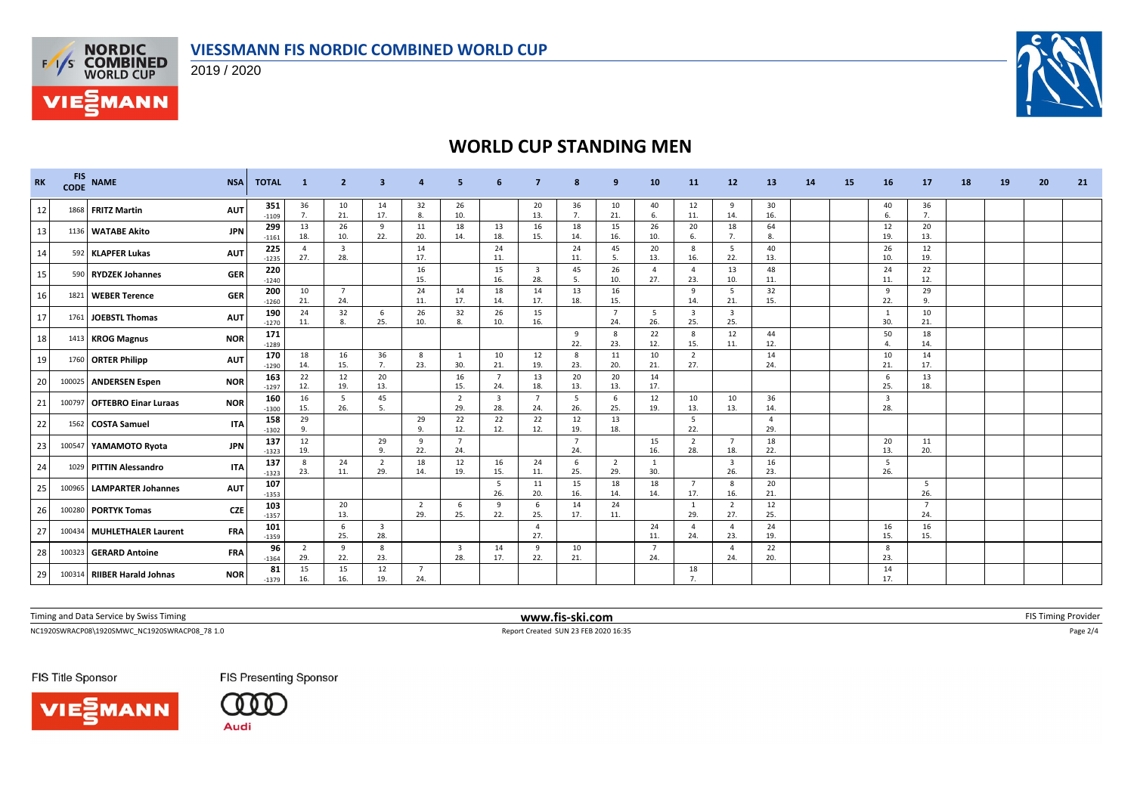



**VIE***MANN* 



## **WORLD CUP STANDING MEN**

| <b>RK</b> | <b>FIS</b><br><b>CODE</b> | <b>NAME</b>                   | <b>NSA</b> | <b>TOTAL</b>   | -1              | $\overline{2}$        | 3                              |                       |                                |                       |                                |                       | 9                     | 10                    | 11                             | 12                             | 13                  | <b>14</b> | 15 | 16                             | 17                    | 18 | 19 | 20 | 21 |
|-----------|---------------------------|-------------------------------|------------|----------------|-----------------|-----------------------|--------------------------------|-----------------------|--------------------------------|-----------------------|--------------------------------|-----------------------|-----------------------|-----------------------|--------------------------------|--------------------------------|---------------------|-----------|----|--------------------------------|-----------------------|----|----|----|----|
| 12        |                           | 1868 FRITZ Martin             | <b>AUT</b> | 351<br>$-1109$ | 36<br>7.        | 10<br>21.             | 14<br>17.                      | 32<br>8.              | 26<br>10.                      |                       | 20<br>13.                      | 36<br>7.              | 10<br>21.             | 40<br>6.              | 12<br>11.                      | 9<br>14.                       | 30<br>16.           |           |    | 40<br>6                        | 36<br>7.              |    |    |    |    |
| 13        |                           | 1136 WATABE Akito             | <b>JPN</b> | 299<br>$-1161$ | 13<br>18.       | 26<br>10.             | -9<br>22.                      | 11<br>20.             | 18<br>14.                      | 13<br>18.             | 16<br>15.                      | 18<br>14.             | 15<br>16.             | 26<br>10.             | 20<br>6.                       | 18<br>7.                       | 64<br>8.            |           |    | 12<br>19.                      | 20<br>13.             |    |    |    |    |
| 14        |                           | 592 KLAPFER Lukas             | <b>AUT</b> | 225<br>$-1235$ | $\Delta$<br>27. | 3<br>28.              |                                | 14<br>17.             |                                | 24<br>11              |                                | 24<br>11.             | 45<br>-5.             | 20<br>13.             | 8<br>16.                       | 5<br>22.                       | 40<br>13.           |           |    | 26<br>10.                      | 12<br>19.             |    |    |    |    |
| 15        |                           | 590 RYDZEK Johannes           | GER        | 220<br>$-1240$ |                 |                       |                                | 16<br>15.             |                                | 15<br>16.             | $\overline{\mathbf{3}}$<br>28. | 45<br>5.              | 26<br>10.             | $\overline{4}$<br>27. | $\overline{a}$<br>23.          | 13<br>10.                      | 48<br>11.           |           |    | 24<br>11.                      | 22<br>12.             |    |    |    |    |
| 16        |                           | 1821   WEBER Terence          | <b>GER</b> | 200<br>$-1260$ | 10<br>21.       | $\overline{7}$<br>24. |                                | 24<br>11.             | 14<br>17.                      | 18<br>14.             | 14<br>17.                      | 13<br>18.             | 16<br>15.             |                       | 9<br>14.                       | 5<br>21.                       | 32<br>15.           |           |    | 9<br>22.                       | 29<br>9.              |    |    |    |    |
| 17        |                           | 1761 JOEBSTL Thomas           | <b>AUT</b> | 190<br>$-1270$ | 24<br>11.       | 32<br>8.              | 6<br>25.                       | 26<br>10.             | 32<br>8.                       | 26<br>10.             | 15<br>16.                      |                       | $\overline{7}$<br>24. | 5<br>26.              | $\overline{\mathbf{3}}$<br>25. | $\overline{\mathbf{3}}$<br>25. |                     |           |    | 30.                            | 10<br>21.             |    |    |    |    |
| 18        |                           | 1413 KROG Magnus              | <b>NOR</b> | 171<br>$-1289$ |                 |                       |                                |                       |                                |                       |                                | 9<br>22.              | 8<br>23.              | 22<br>12.             | 8<br>15.                       | 12<br>11.                      | 44<br>12.           |           |    | 50<br>$\mathbf{A}$             | 18<br>14.             |    |    |    |    |
| 19        |                           | 1760 ORTER Philipp            | <b>AUT</b> | 170<br>$-1290$ | 18<br>14.       | 16<br>15.             | 36<br>7.                       | 8<br>23.              | <sup>1</sup><br>30.            | 10<br>21.             | 12<br>19.                      | 8<br>23.              | 11<br>20.             | 10<br>21.             | $\overline{2}$<br>27.          |                                | 14<br>24.           |           |    | 10<br>21.                      | 14<br>17.             |    |    |    |    |
| 20        |                           | 100025 ANDERSEN Espen         | <b>NOR</b> | 163<br>$-1297$ | 22<br>12.       | 12<br>19.             | 20<br>13.                      |                       | 16<br>15.                      | $\overline{7}$<br>24. | 13<br>18.                      | 20<br>13.             | 20<br>13.             | 14<br>17.             |                                |                                |                     |           |    | - 6<br>25.                     | 13<br>18.             |    |    |    |    |
| 21        |                           | 100797   OFTEBRO Einar Luraas | <b>NOR</b> | 160<br>$-1300$ | 16<br>15.       | -5<br>26.             | 45<br>-5.                      |                       | $\overline{2}$<br>29.          | 3<br>28.              | $\overline{7}$<br>24.          | -5<br>26.             | 6<br>25.              | 12<br>19.             | 10<br>13.                      | 10<br>13.                      | 36<br>14            |           |    | $\overline{\mathbf{3}}$<br>28. |                       |    |    |    |    |
| 22        |                           | 1562 COSTA Samuel             | <b>ITA</b> | 158<br>$-1302$ | 29<br>9.        |                       |                                | 29<br>9.              | 22<br>12.                      | 22<br>12.             | 22<br>12.                      | 12<br>19.             | 13<br>18.             |                       | 5<br>22.                       |                                | $\mathbf{A}$<br>29. |           |    |                                |                       |    |    |    |    |
| 23        |                           | 100547 YAMAMOTO Ryota         | <b>JPN</b> | 137<br>$-1323$ | 12<br>19.       |                       | 29<br>9.                       | 9<br>22.              | $\overline{7}$<br>24.          |                       |                                | $\overline{7}$<br>24. |                       | 15<br>16.             | $\overline{2}$<br>28.          | - 7<br>18.                     | 18<br>22.           |           |    | 20<br>13.                      | 11<br>20.             |    |    |    |    |
| 24        |                           | 1029 PITTIN Alessandro        | <b>ITA</b> | 137<br>$-1323$ | 8<br>23.        | 24<br>11.             | $\overline{2}$<br>29.          | 18<br>14.             | 12<br>19.                      | 16<br>15.             | 24<br>11.                      | 6<br>25.              | $\overline{2}$<br>29. | 30.                   |                                | $\overline{\mathbf{3}}$<br>26. | 16<br>23.           |           |    | 5<br>26.                       |                       |    |    |    |    |
| 25        |                           | 100965 LAMPARTER Johannes     | <b>AUT</b> | 107<br>$-1353$ |                 |                       |                                |                       |                                | -5<br>26.             | 11<br>20.                      | 15<br>16.             | 18<br>14.             | 18<br>14.             | $\overline{7}$<br>17.          | 8<br>16.                       | 20<br>21.           |           |    |                                | - 5<br>26.            |    |    |    |    |
| 26        |                           | 100280 PORTYK Tomas           | <b>CZE</b> | 103<br>$-1357$ |                 | 20<br>13.             |                                | $\overline{2}$<br>29. | 6<br>25.                       | $\mathbf{q}$<br>22.   | - 6<br>25.                     | 14<br>17.             | 24<br>11.             |                       | 1<br>29.                       | $\overline{2}$<br>27.          | 12<br>25.           |           |    |                                | $\overline{7}$<br>24. |    |    |    |    |
| 27        |                           | 100434   MUHLETHALER Laurent  | <b>FRA</b> | 101<br>$-1359$ |                 | 6<br>25.              | $\overline{\mathbf{3}}$<br>28. |                       |                                |                       | $\overline{4}$<br>27.          |                       |                       | 24<br>11.             | $\overline{4}$<br>24.          | $\overline{4}$<br>23.          | 24<br>19.           |           |    | 16<br>15.                      | 16<br>15.             |    |    |    |    |
| 28        |                           | 100323 GERARD Antoine         | <b>FRA</b> | 96<br>$-1364$  | 2<br>29.        | 9<br>22.              | 8<br>23.                       |                       | $\overline{\mathbf{3}}$<br>28. | 14<br>17.             | $\mathbf{q}$<br>22.            | 10<br>21.             |                       | $\overline{7}$<br>24. |                                | $\overline{4}$<br>24.          | 22<br>20.           |           |    | -8<br>23.                      |                       |    |    |    |    |
| 29        |                           | 100314 RIIBER Harald Johnas   | <b>NOR</b> | 81<br>$-1379$  | 15<br>16.       | 15<br>16.             | 12<br>19.                      | $\overline{7}$<br>24. |                                |                       |                                |                       |                       |                       | 18<br>7.                       |                                |                     |           |    | 14<br>17.                      |                       |    |    |    |    |

Timing and Data Service by Swiss Timing **www.fis-ski.com www.fis-ski.com** FIS Timing Provider

NC1920SWRACP08\1920SMWC\_NC1920SWRACP08\_78 1.0 Report Created SUN 23 FEB 2020 16:35 Page 2/4

FIS Title Sponsor





**FIS Presenting Sponsor**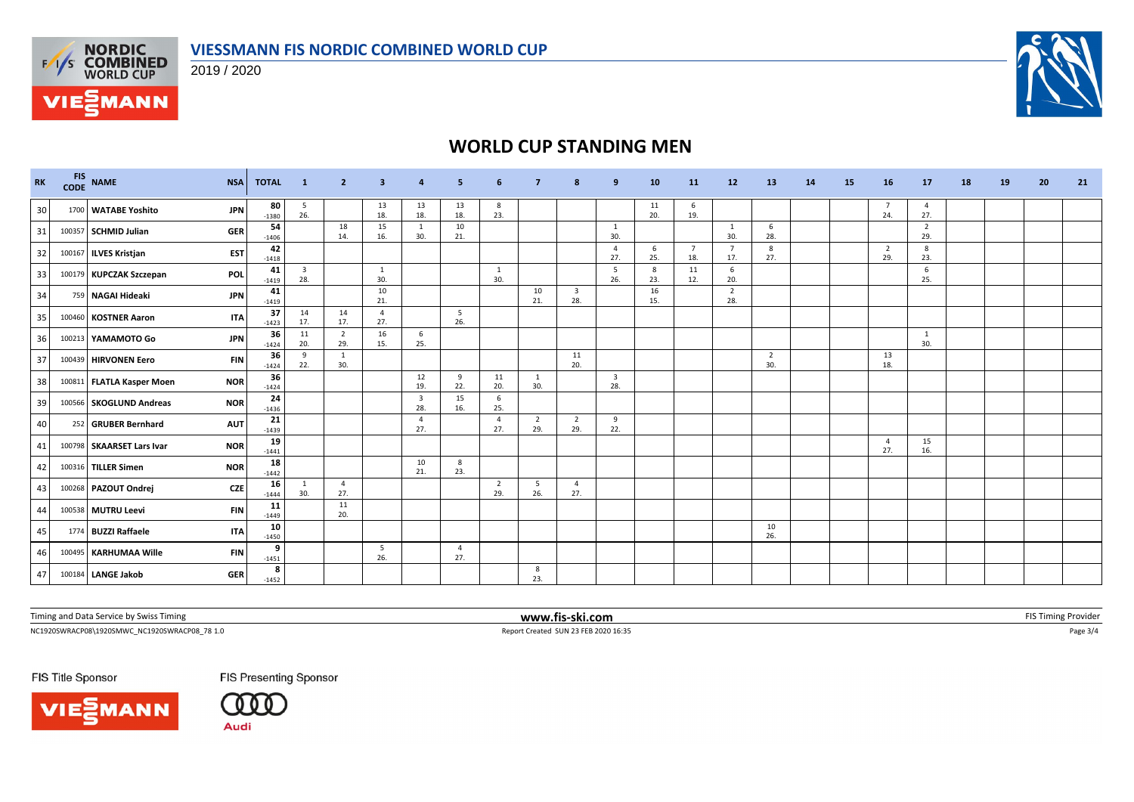

2019 / 2020



# **WORLD CUP STANDING MEN**

| RK | <b>FIS</b><br>CODE | <b>NAME</b>               | <b>NSA</b> | <b>TOTAL</b>  | $\blacksquare$ 1               | $\overline{2}$        | 3                     |                                | 5         | -6                    | 7                   | 8                     | 9                              | 10        | 11                    | 12                    | 13                    | 14 | 15 | 16                    | 17                    | 18 | 19 | 20 | 21 |
|----|--------------------|---------------------------|------------|---------------|--------------------------------|-----------------------|-----------------------|--------------------------------|-----------|-----------------------|---------------------|-----------------------|--------------------------------|-----------|-----------------------|-----------------------|-----------------------|----|----|-----------------------|-----------------------|----|----|----|----|
| 30 |                    | 1700 WATABE Yoshito       | <b>JPN</b> | 80<br>$-1380$ | - 5<br>26.                     |                       | 13<br>18.             | 13<br>18.                      | 13<br>18. | 8<br>23.              |                     |                       |                                | 11<br>20. | 6<br>19.              |                       |                       |    |    | - 7<br>24.            | 4<br>27.              |    |    |    |    |
| 31 |                    | 100357 SCHMID Julian      | <b>GER</b> | 54<br>$-1406$ |                                | 18<br>14.             | 15<br>16.             | <sup>1</sup><br>30.            | 10<br>21. |                       |                     |                       | 1<br>30.                       |           |                       | -1<br>30.             | 6<br>28.              |    |    |                       | $\overline{2}$<br>29. |    |    |    |    |
| 32 |                    | 100167 ILVES Kristjan     | <b>EST</b> | 42<br>$-1418$ |                                |                       |                       |                                |           |                       |                     |                       | $\overline{4}$<br>27.          | 6<br>25.  | $\overline{7}$<br>18. | $\overline{7}$<br>17. | 8<br>27.              |    |    | $\overline{2}$<br>29. | 8<br>23.              |    |    |    |    |
| 33 |                    | 100179 KUPCZAK Szczepan   | POL        | 41<br>$-1419$ | $\overline{\mathbf{3}}$<br>28. |                       | $\overline{1}$<br>30. |                                |           | 1<br>30.              |                     |                       | 5<br>26.                       | 8<br>23.  | 11<br>12.             | 6<br>20.              |                       |    |    |                       | 6<br>25.              |    |    |    |    |
| 34 |                    | 759 NAGAI Hideaki         | <b>JPN</b> | 41<br>$-1419$ |                                |                       | 10<br>21.             |                                |           |                       | 10<br>21.           | 3<br>28.              |                                | 16<br>15. |                       | $\overline{2}$<br>28. |                       |    |    |                       |                       |    |    |    |    |
| 35 | 100460             | <b>KOSTNER Aaron</b>      | <b>ITA</b> | 37<br>$-1423$ | 14<br>17.                      | 14<br>17.             | $\overline{4}$<br>27. |                                | 5<br>26.  |                       |                     |                       |                                |           |                       |                       |                       |    |    |                       |                       |    |    |    |    |
| 36 |                    | 100213 YAMAMOTO Go        | <b>JPN</b> | 36<br>$-1424$ | 11<br>20.                      | $\overline{2}$<br>29. | 16<br>15.             | 6<br>25.                       |           |                       |                     |                       |                                |           |                       |                       |                       |    |    |                       | $\overline{1}$<br>30. |    |    |    |    |
| 37 |                    | 100439 HIRVONEN Eero      | <b>FIN</b> | 36<br>$-1424$ | 9<br>22.                       | -1<br>30.             |                       |                                |           |                       |                     | 11<br>20.             |                                |           |                       |                       | $\overline{2}$<br>30. |    |    | 13<br>18.             |                       |    |    |    |    |
| 38 |                    | 100811 FLATLA Kasper Moen | <b>NOR</b> | 36<br>$-1424$ |                                |                       |                       | 12<br>19.                      | 9<br>22.  | 11<br>20.             | $\mathbf{1}$<br>30. |                       | $\overline{\mathbf{3}}$<br>28. |           |                       |                       |                       |    |    |                       |                       |    |    |    |    |
| 39 |                    | 100566 SKOGLUND Andreas   | <b>NOR</b> | 24<br>$-1436$ |                                |                       |                       | $\overline{\mathbf{3}}$<br>28. | 15<br>16. | 6<br>25.              |                     |                       |                                |           |                       |                       |                       |    |    |                       |                       |    |    |    |    |
| 40 |                    | 252 GRUBER Bernhard       | <b>AUT</b> | 21<br>$-1439$ |                                |                       |                       | $\overline{4}$<br>27.          |           | $\overline{4}$<br>27. | 2<br>29.            | $\overline{2}$<br>29. | 9<br>22.                       |           |                       |                       |                       |    |    |                       |                       |    |    |    |    |
| 41 |                    | 100798 SKAARSET Lars Ivar | <b>NOR</b> | 19<br>$-1441$ |                                |                       |                       |                                |           |                       |                     |                       |                                |           |                       |                       |                       |    |    | $\overline{4}$<br>27. | 15<br>16.             |    |    |    |    |
| 42 |                    | 100316 TILLER Simen       | <b>NOR</b> | 18<br>$-1442$ |                                |                       |                       | 10<br>21.                      | 8<br>23.  |                       |                     |                       |                                |           |                       |                       |                       |    |    |                       |                       |    |    |    |    |
| 43 |                    | 100268 PAZOUT Ondrej      | <b>CZE</b> | 16<br>$-1444$ | 1<br>30.                       | $\overline{4}$<br>27. |                       |                                |           | $\overline{2}$<br>29. | 5<br>26.            | $\overline{4}$<br>27. |                                |           |                       |                       |                       |    |    |                       |                       |    |    |    |    |
| 44 |                    | 100538 MUTRU Leevi        | <b>FIN</b> | 11<br>$-1449$ |                                | 11<br>20.             |                       |                                |           |                       |                     |                       |                                |           |                       |                       |                       |    |    |                       |                       |    |    |    |    |
| 45 |                    | 1774 BUZZI Raffaele       | <b>ITA</b> | 10<br>$-1450$ |                                |                       |                       |                                |           |                       |                     |                       |                                |           |                       |                       | 10<br>26.             |    |    |                       |                       |    |    |    |    |
| 46 |                    | 100495 KARHUMAA Wille     | <b>FIN</b> | 9<br>$-1451$  |                                |                       | - 5<br>26.            |                                | 4<br>27.  |                       |                     |                       |                                |           |                       |                       |                       |    |    |                       |                       |    |    |    |    |
| 47 |                    | 100184 LANGE Jakob        | <b>GER</b> | 8<br>$-1452$  |                                |                       |                       |                                |           |                       | 8<br>23.            |                       |                                |           |                       |                       |                       |    |    |                       |                       |    |    |    |    |

Timing and Data Service by Swiss Timing **www.fis-ski.com www.fis-ski.com** FIS Timing Provider

NC1920SWRACP08\1920SMWC\_NC1920SWRACP08\_78 1.0 Report Created SUN 23 FEB 2020 16:35 Page 3/4

FIS Title Sponsor